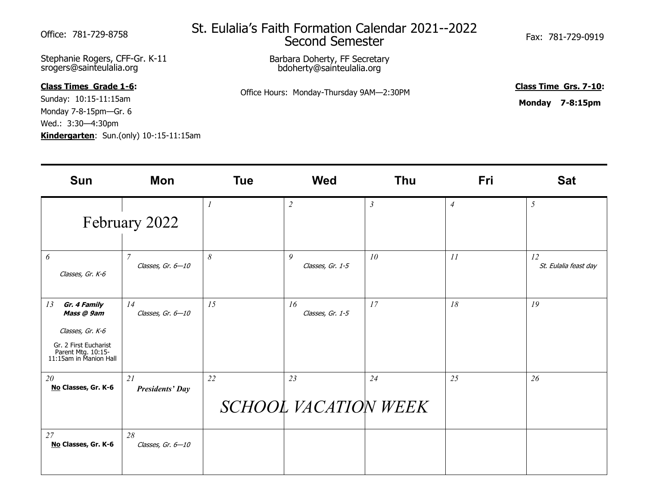Stephanie Rogers, CFF-Gr. K-11 srogers@sainteulalia.org

## **Class Times Grade 1-6:**

Sunday: 10:15-11:15am Monday 7-8-15pm—Gr. 6 Wed.: 3:30—4:30pm **Kindergarten**: Sun.(only) 10-:15-11:15am

## St. Eulalia's Faith Formation Calendar 2021--2022 Office: 781-729-8758 Su. Luidild 5 Fatti Forfildion Caleriual ZUZI<sup>--</sup>ZUZZ<br>Second Semester

Barbara Doherty, FF Secretary bdoherty@sainteulalia.org

Office Hours: Monday-Thursday 9AM—2:30PM

**Class Time Grs. 7-10:**

**Monday 7-8:15pm**

| <b>Sun</b>                                                                                                                    | Mon                                 | <b>Tue</b>            | <b>Wed</b>                 | <b>Thu</b>     | <b>Fri</b>     | <b>Sat</b>                  |
|-------------------------------------------------------------------------------------------------------------------------------|-------------------------------------|-----------------------|----------------------------|----------------|----------------|-----------------------------|
|                                                                                                                               | February 2022                       |                       | $\overline{c}$             | $\mathfrak{Z}$ | $\overline{4}$ | 5                           |
| 6<br>Classes, Gr. K-6                                                                                                         | $\overline{7}$<br>Classes, Gr. 6-10 | $\boldsymbol{\delta}$ | 9<br>Classes, Gr. 1-5      | 10             | II             | 12<br>St. Eulalia feast day |
| 13<br>Gr. 4 Family<br>Mass @ 9am<br>Classes, Gr. K-6<br>Gr. 2 First Eucharist<br>Parent Mtg. 10:15-<br>11:15am in Manion Hall | 14<br>Classes, Gr. 6-10             | 15                    | 16<br>Classes, Gr. 1-5     | 17             | 18             | 19                          |
| 20<br>No Classes, Gr. K-6                                                                                                     | 21<br><b>Presidents' Day</b>        | 22                    | 23<br>SCHOOL VACATION WEEK | 24             | 25             | 26                          |
| 27<br>No Classes, Gr. K-6                                                                                                     | 28<br>Classes, Gr. 6-10             |                       |                            |                |                |                             |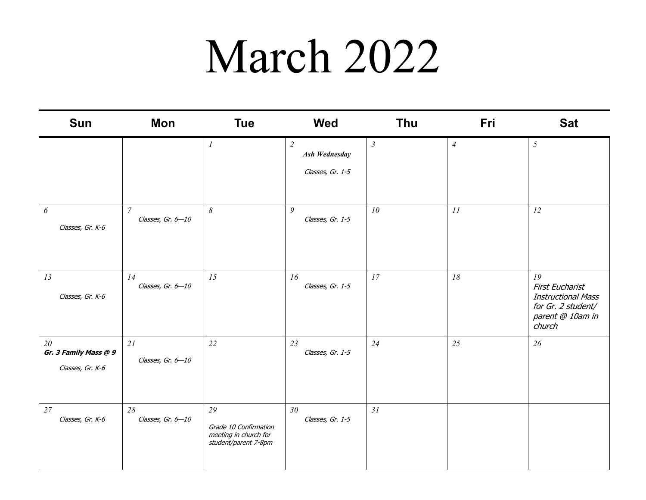## March 2022

| Sun                                             | Mon                                   | <b>Tue</b>                                                                   | <b>Wed</b>                                                 | Thu            | Fri                        | <b>Sat</b>                                                                                                    |
|-------------------------------------------------|---------------------------------------|------------------------------------------------------------------------------|------------------------------------------------------------|----------------|----------------------------|---------------------------------------------------------------------------------------------------------------|
|                                                 |                                       | $\boldsymbol{l}$                                                             | $\overline{2}$<br><b>Ash Wednesday</b><br>Classes, Gr. 1-5 | $\mathfrak{Z}$ | $\ensuremath{\mathcal{A}}$ | $\mathfrak{H}$                                                                                                |
| $\boldsymbol{\delta}$<br>Classes, Gr. K-6       | $\boldsymbol{7}$<br>Classes, Gr. 6-10 | $\delta$                                                                     | 9<br>Classes, Gr. 1-5                                      | 10             | 11                         | 12                                                                                                            |
| 13<br>Classes, Gr. K-6                          | 14<br>Classes, Gr. 6-10               | 15                                                                           | 16<br>Classes, Gr. 1-5                                     | 17             | 18                         | 19<br><b>First Eucharist</b><br><b>Instructional Mass</b><br>for Gr. 2 student/<br>parent @ 10am in<br>church |
| 20<br>Gr. 3 Family Mass @ 9<br>Classes, Gr. K-6 | 21<br>Classes, Gr. 6-10               | 22                                                                           | 23<br>Classes, Gr. 1-5                                     | 24             | 25                         | 26                                                                                                            |
| 27<br>Classes, Gr. K-6                          | 28<br>Classes, Gr. 6-10               | 29<br>Grade 10 Confirmation<br>meeting in church for<br>student/parent 7-8pm | 30<br>Classes, Gr. 1-5                                     | 31             |                            |                                                                                                               |